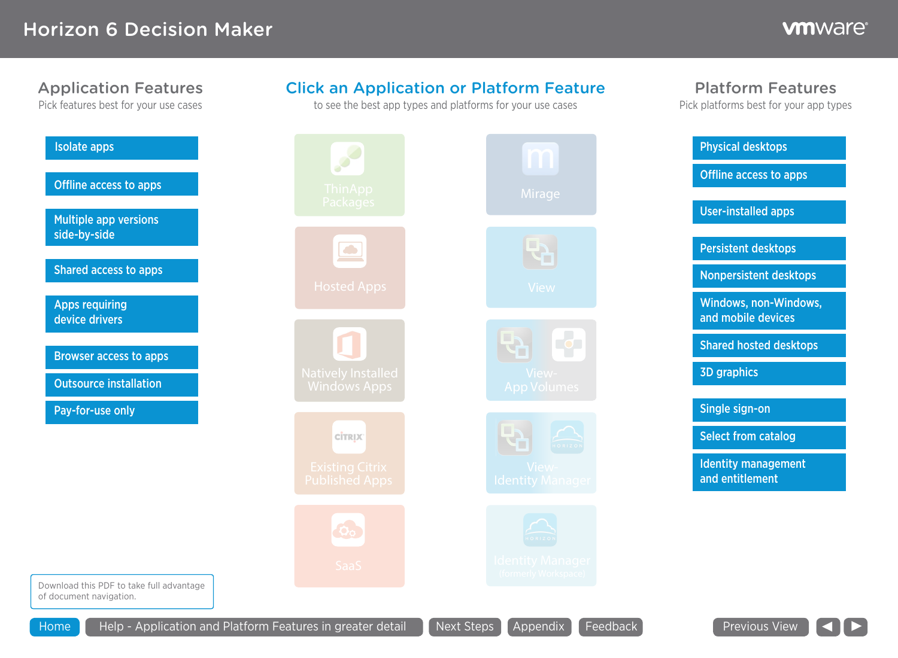Platform Features

Pick platforms best for your app types

#### Application Features

Pick features best for your use cases

| <b>Isolate apps</b>                          |                             |
|----------------------------------------------|-----------------------------|
| <b>Offline access to apps</b>                |                             |
| <b>Multiple app versions</b><br>side-by-side | <u>Packa</u>                |
| <b>Shared access to apps</b>                 |                             |
| <b>Apps requiring</b><br>device drivers      | <b>Hosted</b>               |
| <b>Browser access to apps</b>                |                             |
| <b>Outsource installation</b>                | <b>Natively I</b><br>Window |
| Pay-for-use only                             |                             |
|                                              | <b>CITRI</b>                |
|                                              | <b>Existing</b><br>Publishe |
|                                              |                             |
|                                              |                             |
|                                              |                             |

#### Click an Application or Platform Feature

to see the best app types and platforms for your use cases

| <b>Isolate apps</b>                                                 | $\mathscr{S}$                                    | m                                       | <b>Physical desktops</b>                      |
|---------------------------------------------------------------------|--------------------------------------------------|-----------------------------------------|-----------------------------------------------|
| <b>Offline access to apps</b>                                       | <b>ThinApp</b>                                   | Mirage                                  | Offline access to apps                        |
| Multiple app versions                                               | Packages                                         |                                         | <b>User-installed apps</b>                    |
| side-by-side                                                        | $\boxed{\bullet}$                                | फे                                      | <b>Persistent desktops</b>                    |
| <b>Shared access to apps</b>                                        | <b>Hosted Apps</b>                               | View                                    | Nonpersistent desktops                        |
| <b>Apps requiring</b><br>device drivers                             |                                                  |                                         | Windows, non-Windows,<br>and mobile devices   |
| <b>Browser access to apps</b>                                       |                                                  | <b>TOD</b>                              | <b>Shared hosted desktops</b>                 |
| <b>Outsource installation</b>                                       | <b>Natively Installed</b><br><b>Windows Apps</b> | View-<br><b>App Volumes</b>             | <b>3D graphics</b>                            |
| Pay-for-use only                                                    |                                                  |                                         | Single sign-on                                |
|                                                                     | <b>CİTRIX</b>                                    | $\triangle$<br>HORIZON                  | <b>Select from catalog</b>                    |
|                                                                     | <b>Existing Citrix</b><br><b>Published Apps</b>  | View-<br><b>Identity Manager</b>        | <b>Identity management</b><br>and entitlement |
|                                                                     | 00                                               | HORIZON                                 |                                               |
|                                                                     | SaaS                                             | dentity Manager<br>(formerly Workspace) |                                               |
| Download this PDF to take full advantage<br>of document navigation. |                                                  |                                         |                                               |
| Help - Application and Platform Features in greater detail<br>Home  |                                                  | Next Steps   Appendix  <br>Feedback     | Previous View   <                             |

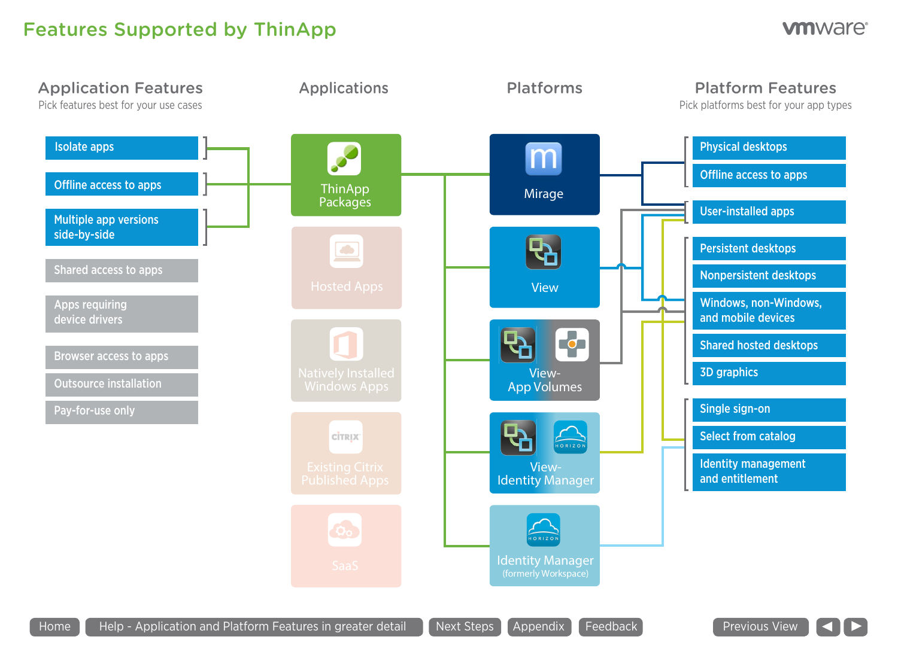## Features Supported by ThinApp



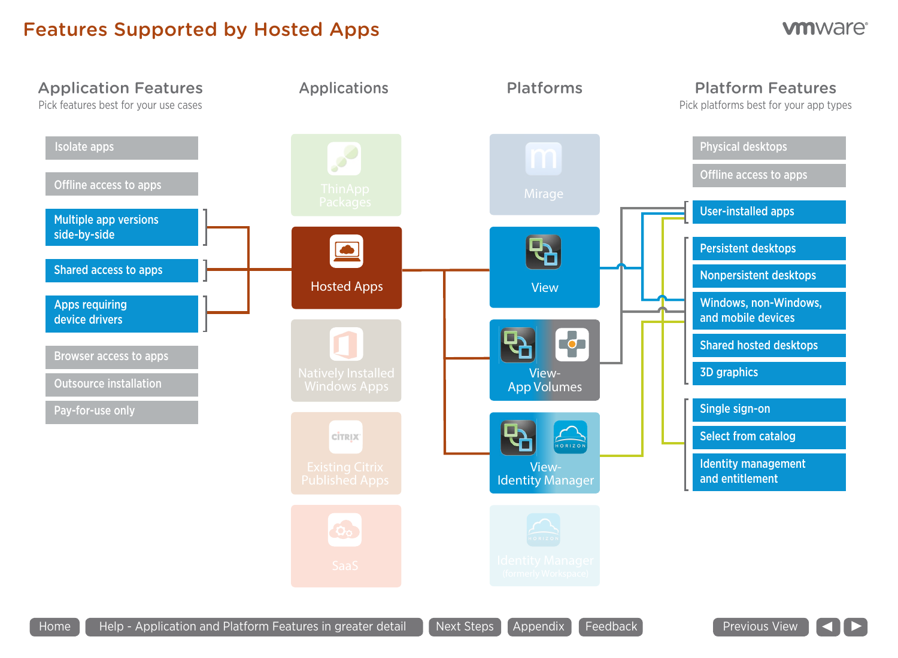## Features Supported by Hosted Apps



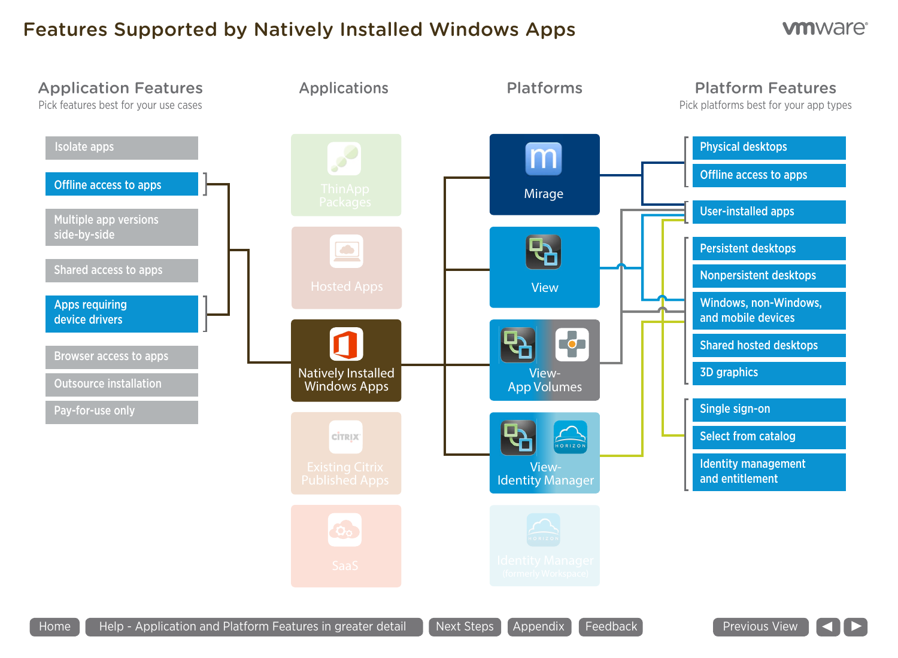## Features Supported by Natively Installed Windows Apps



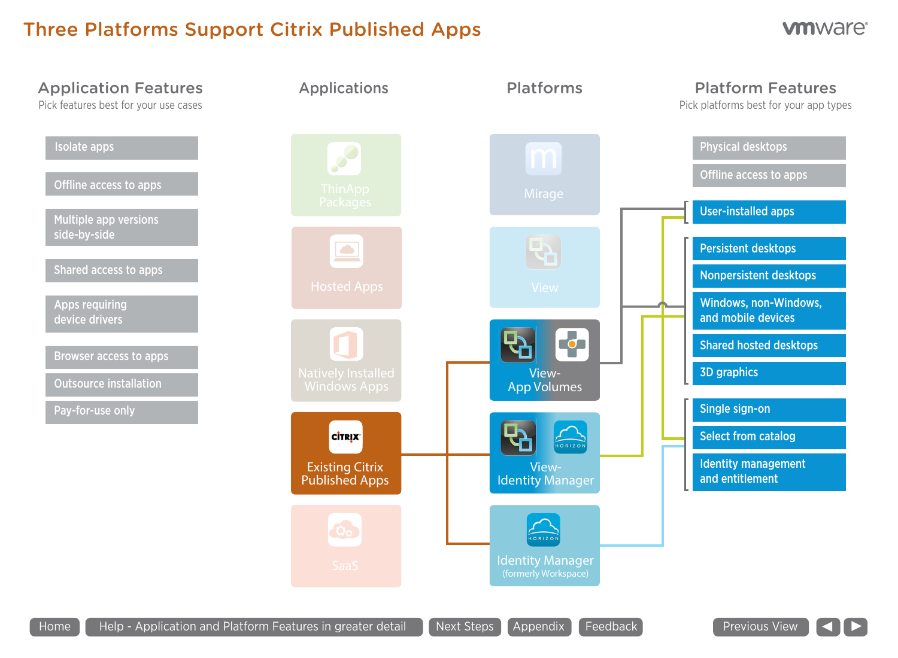## Three Platforms Support Citrix Published Apps



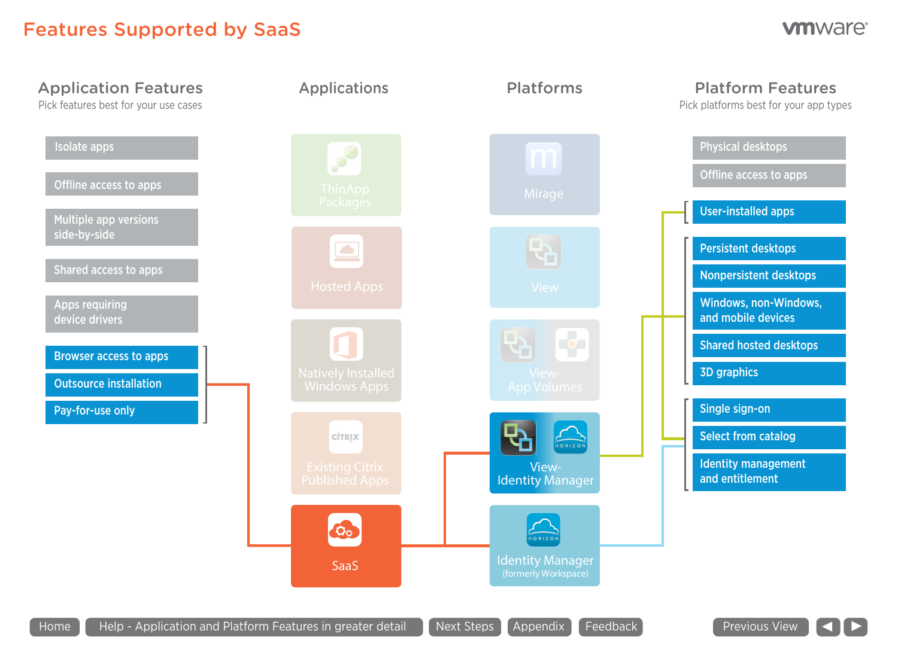## Features Supported by SaaS



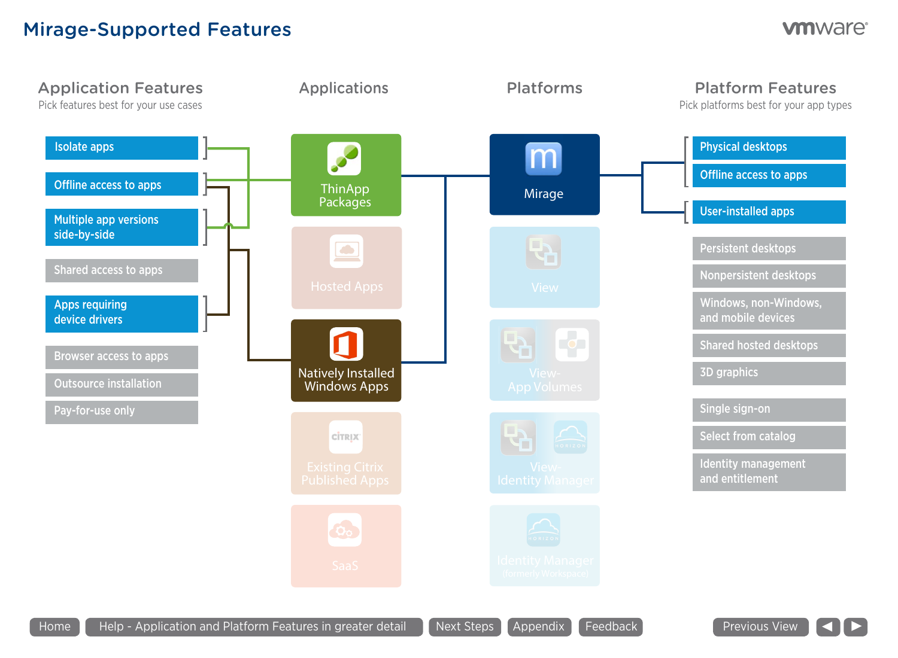### Mirage-Supported Features



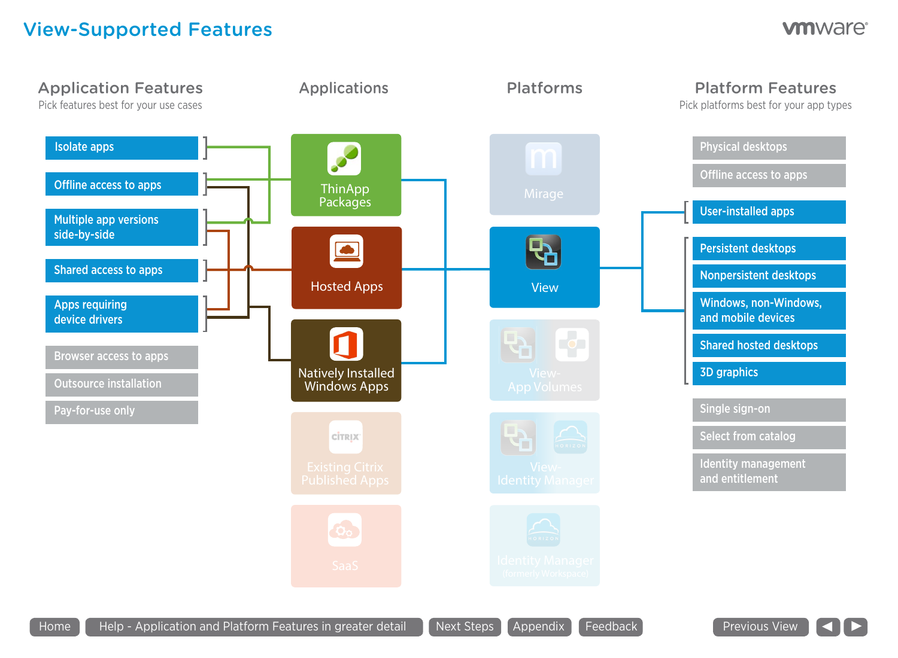## View-Supported Features



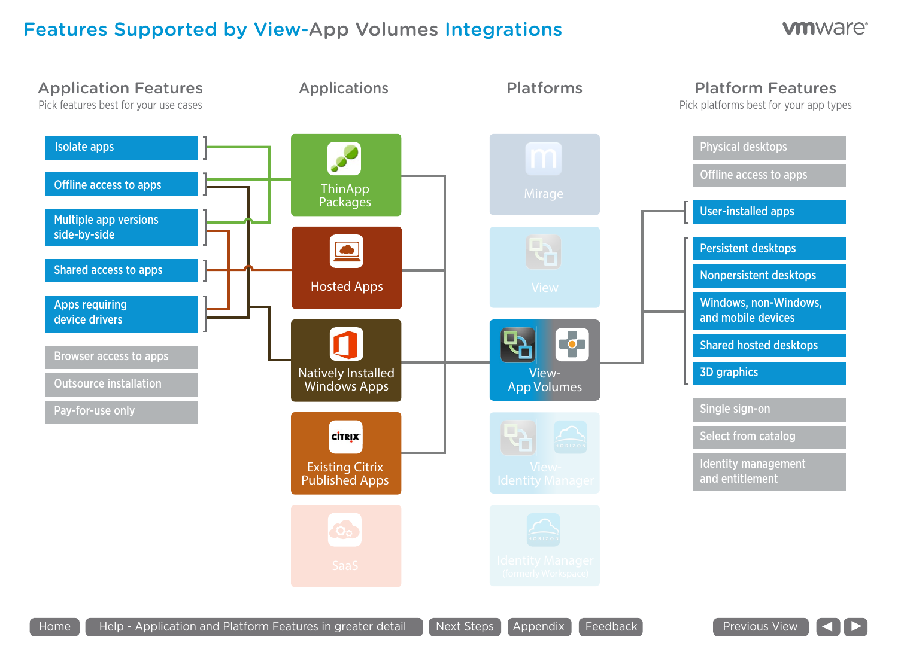## Features Supported by View-App Volumes Integrations



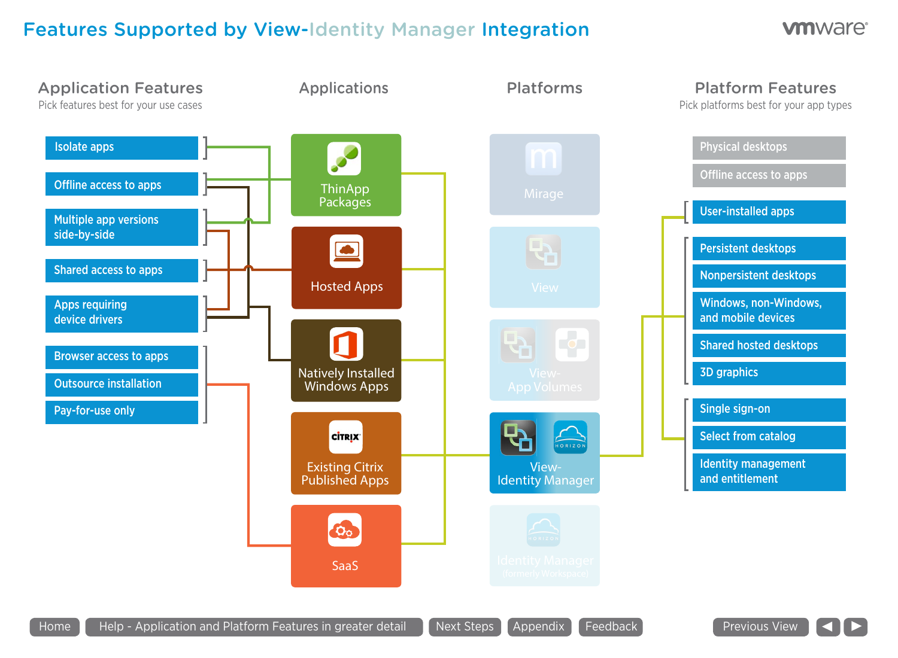## Features Supported by View-Identity Manager Integration



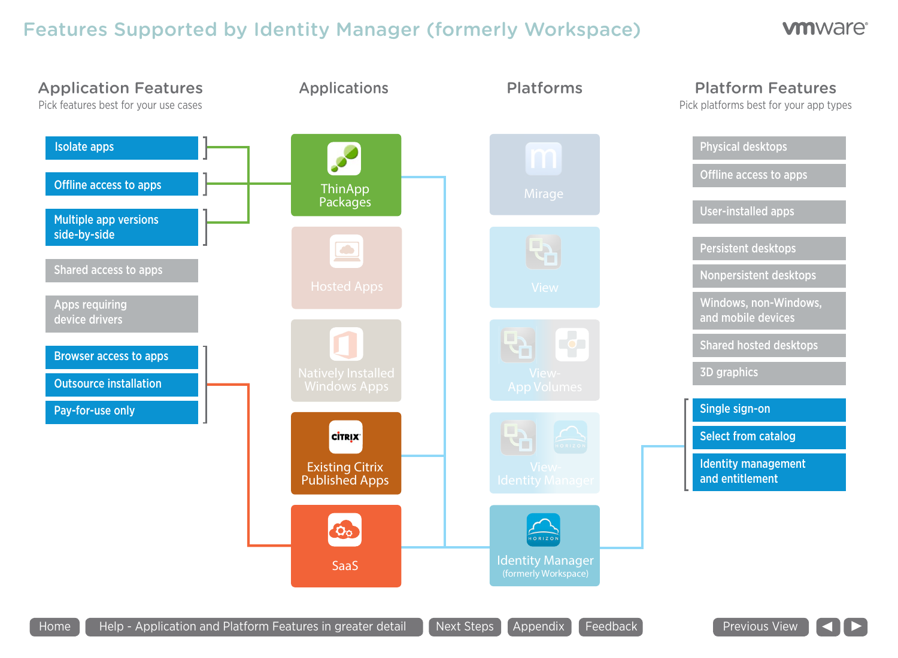# Features Supported by Identity Manager (formerly Workspace)



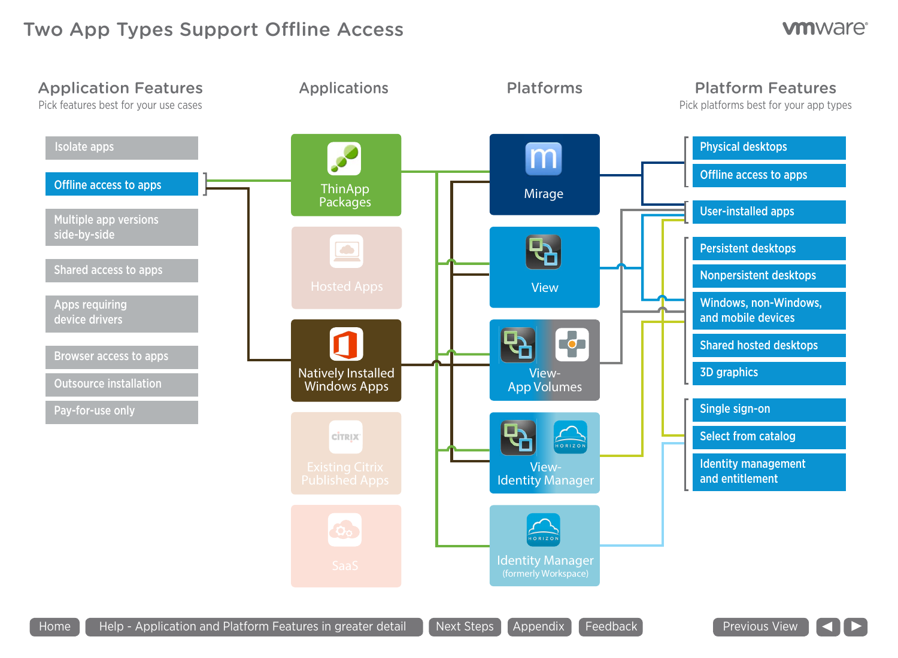## Two App Types Support Offline Access



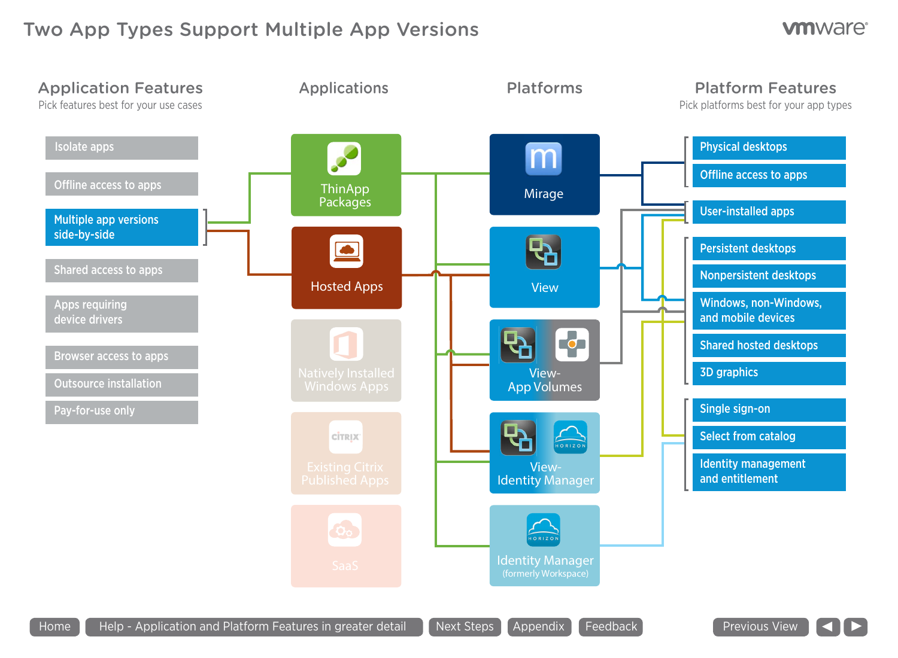## Two App Types Support Multiple App Versions

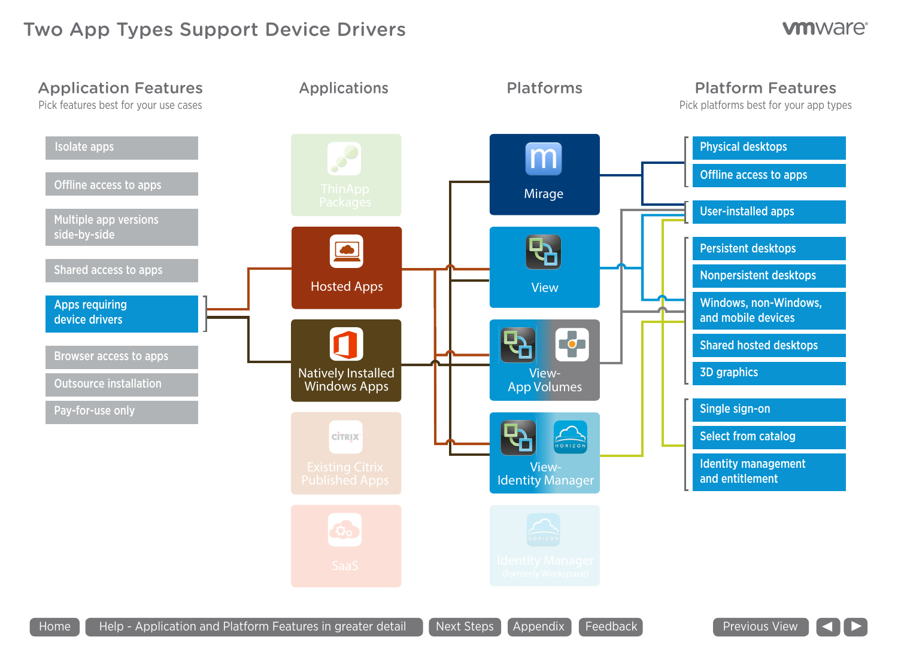### Two App Types Support Device Drivers



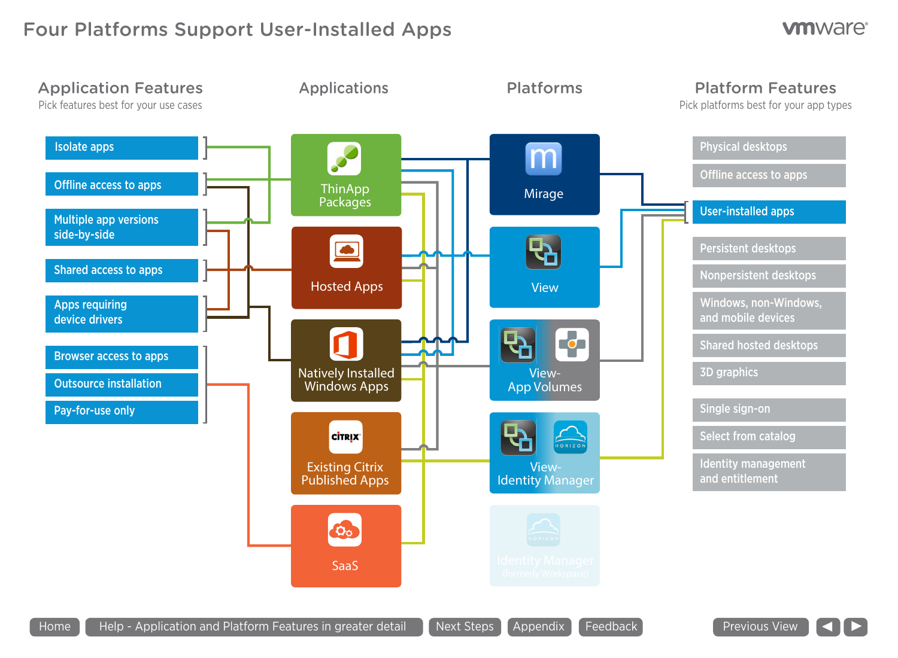## Four Platforms Support User-Installed Apps



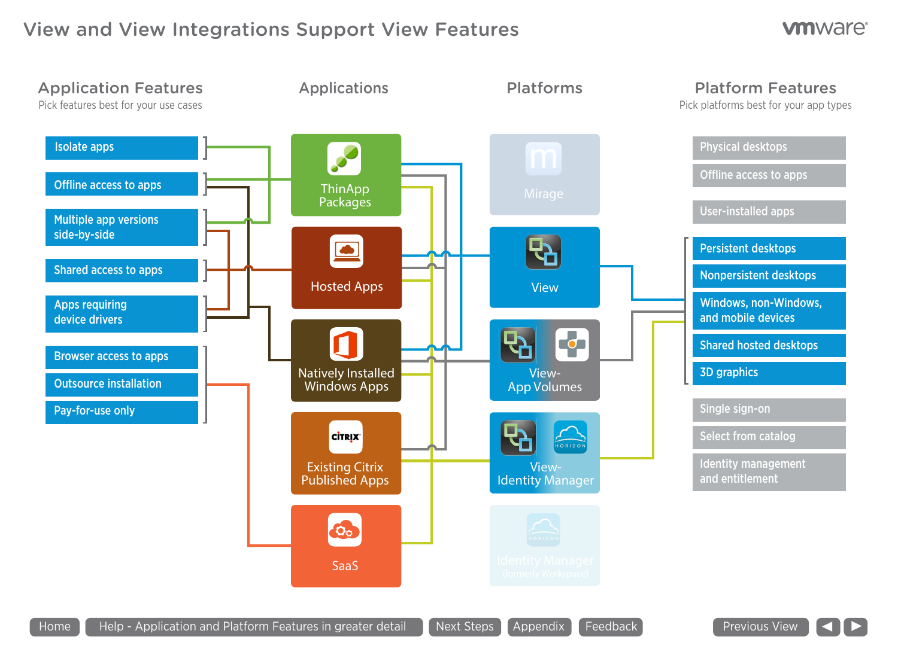## View and View Integrations Support View Features



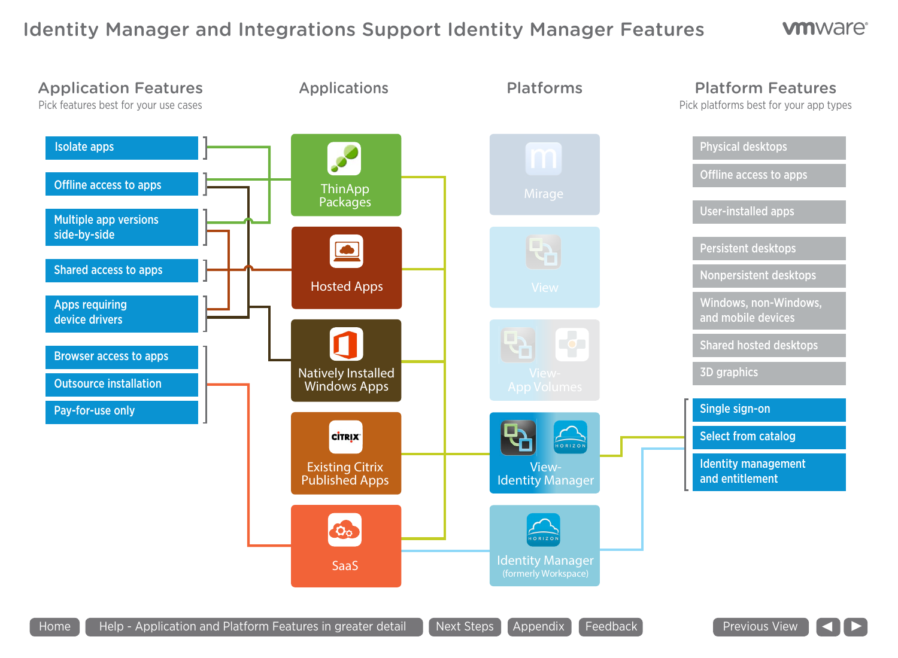## Identity Manager and Integrations Support Identity Manager Features



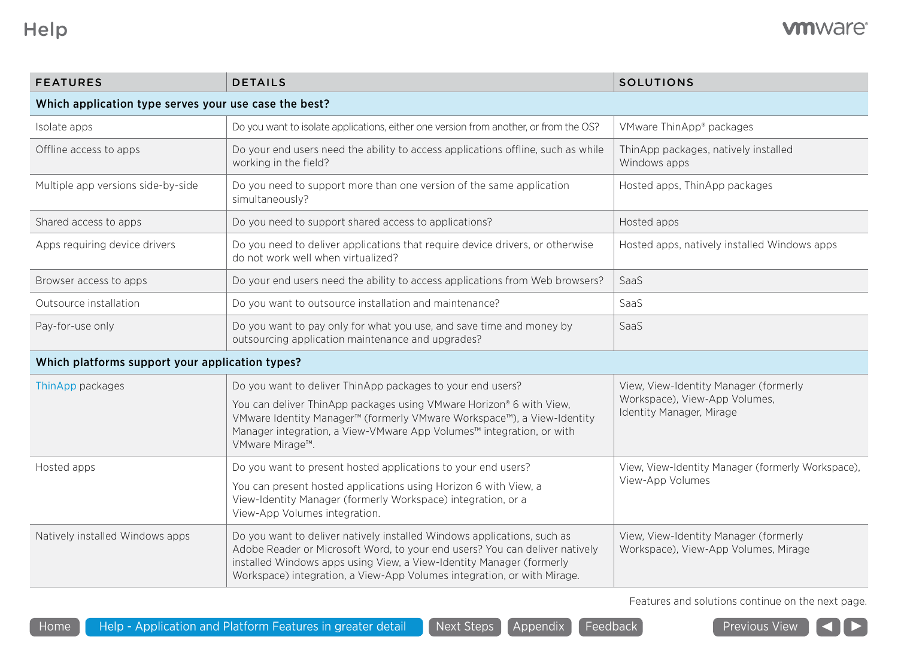| <b>FEATURES</b>                                       | <b>DETAILS</b>                                                                                                                                                                                                                                                                                                     | <b>SOLUTIONS</b>                                                                                   |  |
|-------------------------------------------------------|--------------------------------------------------------------------------------------------------------------------------------------------------------------------------------------------------------------------------------------------------------------------------------------------------------------------|----------------------------------------------------------------------------------------------------|--|
| Which application type serves your use case the best? |                                                                                                                                                                                                                                                                                                                    |                                                                                                    |  |
| Isolate apps                                          | Do you want to isolate applications, either one version from another, or from the OS?                                                                                                                                                                                                                              | VMware ThinApp <sup>®</sup> packages                                                               |  |
| Offline access to apps                                | Do your end users need the ability to access applications offline, such as while<br>working in the field?                                                                                                                                                                                                          | ThinApp packages, natively installed<br>Windows apps                                               |  |
| Multiple app versions side-by-side                    | Do you need to support more than one version of the same application<br>simultaneously?                                                                                                                                                                                                                            | Hosted apps, ThinApp packages                                                                      |  |
| Shared access to apps                                 | Do you need to support shared access to applications?                                                                                                                                                                                                                                                              | Hosted apps                                                                                        |  |
| Apps requiring device drivers                         | Do you need to deliver applications that require device drivers, or otherwise<br>do not work well when virtualized?                                                                                                                                                                                                | Hosted apps, natively installed Windows apps                                                       |  |
| Browser access to apps                                | Do your end users need the ability to access applications from Web browsers?                                                                                                                                                                                                                                       | SaaS                                                                                               |  |
| Outsource installation                                | Do you want to outsource installation and maintenance?                                                                                                                                                                                                                                                             | SaaS                                                                                               |  |
| Pay-for-use only                                      | Do you want to pay only for what you use, and save time and money by<br>outsourcing application maintenance and upgrades?                                                                                                                                                                                          | SaaS                                                                                               |  |
| Which platforms support your application types?       |                                                                                                                                                                                                                                                                                                                    |                                                                                                    |  |
| ThinApp packages                                      | Do you want to deliver ThinApp packages to your end users?<br>You can deliver ThinApp packages using VMware Horizon® 6 with View,<br>VMware Identity Manager <sup>™</sup> (formerly VMware Workspace™), a View-Identity<br>Manager integration, a View-VMware App Volumes™ integration, or with<br>VMware Mirage™. | View, View-Identity Manager (formerly<br>Workspace), View-App Volumes,<br>Identity Manager, Mirage |  |
| Hosted apps                                           | Do you want to present hosted applications to your end users?                                                                                                                                                                                                                                                      | View, View-Identity Manager (formerly Workspace),<br>View-App Volumes                              |  |
|                                                       | You can present hosted applications using Horizon 6 with View, a<br>View-Identity Manager (formerly Workspace) integration, or a<br>View-App Volumes integration.                                                                                                                                                  |                                                                                                    |  |
| Natively installed Windows apps                       | Do you want to deliver natively installed Windows applications, such as<br>Adobe Reader or Microsoft Word, to your end users? You can deliver natively<br>installed Windows apps using View, a View-Identity Manager (formerly<br>Workspace) integration, a View-App Volumes integration, or with Mirage.          | View, View-Identity Manager (formerly<br>Workspace), View-App Volumes, Mirage                      |  |

Features and solutions continue on the next page.

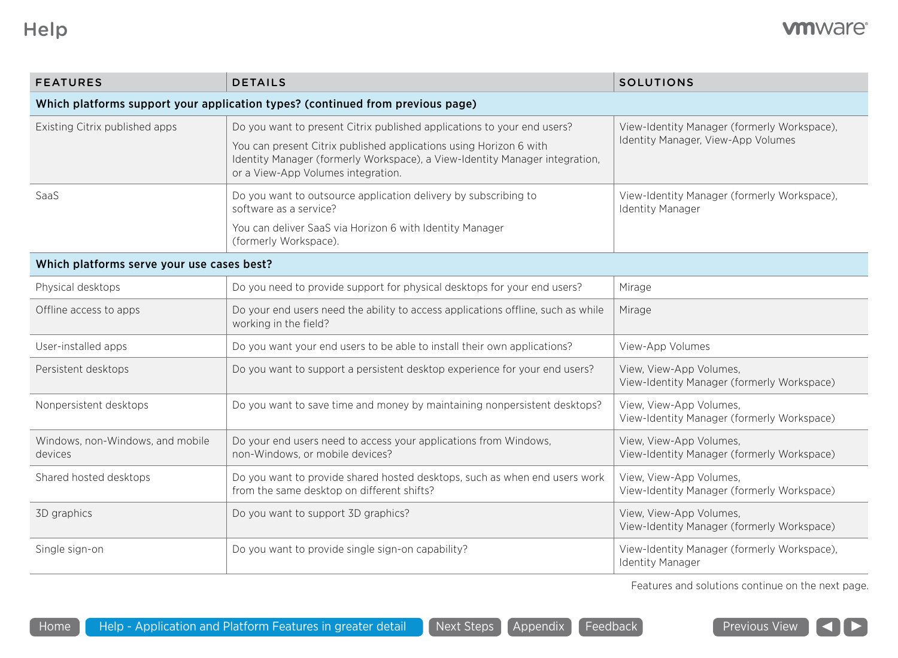| <b>FEATURES</b>                                                                | <b>DETAILS</b>                                                                                                                                                                          | <b>SOLUTIONS</b>                                                                  |  |
|--------------------------------------------------------------------------------|-----------------------------------------------------------------------------------------------------------------------------------------------------------------------------------------|-----------------------------------------------------------------------------------|--|
| Which platforms support your application types? (continued from previous page) |                                                                                                                                                                                         |                                                                                   |  |
| Existing Citrix published apps                                                 | Do you want to present Citrix published applications to your end users?                                                                                                                 | View-Identity Manager (formerly Workspace),<br>Identity Manager, View-App Volumes |  |
|                                                                                | You can present Citrix published applications using Horizon 6 with<br>Identity Manager (formerly Workspace), a View-Identity Manager integration,<br>or a View-App Volumes integration. |                                                                                   |  |
| SaaS                                                                           | Do you want to outsource application delivery by subscribing to<br>software as a service?                                                                                               | View-Identity Manager (formerly Workspace),<br><b>Identity Manager</b>            |  |
|                                                                                | You can deliver SaaS via Horizon 6 with Identity Manager<br>(formerly Workspace).                                                                                                       |                                                                                   |  |
| Which platforms serve your use cases best?                                     |                                                                                                                                                                                         |                                                                                   |  |
| Physical desktops                                                              | Do you need to provide support for physical desktops for your end users?                                                                                                                | Mirage                                                                            |  |
| Offline access to apps                                                         | Do your end users need the ability to access applications offline, such as while<br>working in the field?                                                                               | Mirage                                                                            |  |
| User-installed apps                                                            | Do you want your end users to be able to install their own applications?                                                                                                                | View-App Volumes                                                                  |  |
| Persistent desktops                                                            | Do you want to support a persistent desktop experience for your end users?                                                                                                              | View, View-App Volumes,<br>View-Identity Manager (formerly Workspace)             |  |
| Nonpersistent desktops                                                         | Do you want to save time and money by maintaining nonpersistent desktops?                                                                                                               | View, View-App Volumes,<br>View-Identity Manager (formerly Workspace)             |  |
| Windows, non-Windows, and mobile<br>devices                                    | Do your end users need to access your applications from Windows,<br>non-Windows, or mobile devices?                                                                                     | View, View-App Volumes,<br>View-Identity Manager (formerly Workspace)             |  |
| Shared hosted desktops                                                         | Do you want to provide shared hosted desktops, such as when end users work<br>from the same desktop on different shifts?                                                                | View, View-App Volumes,<br>View-Identity Manager (formerly Workspace)             |  |
| 3D graphics                                                                    | Do you want to support 3D graphics?                                                                                                                                                     | View, View-App Volumes,<br>View-Identity Manager (formerly Workspace)             |  |
| Single sign-on                                                                 | Do you want to provide single sign-on capability?                                                                                                                                       | View-Identity Manager (formerly Workspace),<br><b>Identity Manager</b>            |  |

Features and solutions continue on the next page.

 $\blacktriangleright$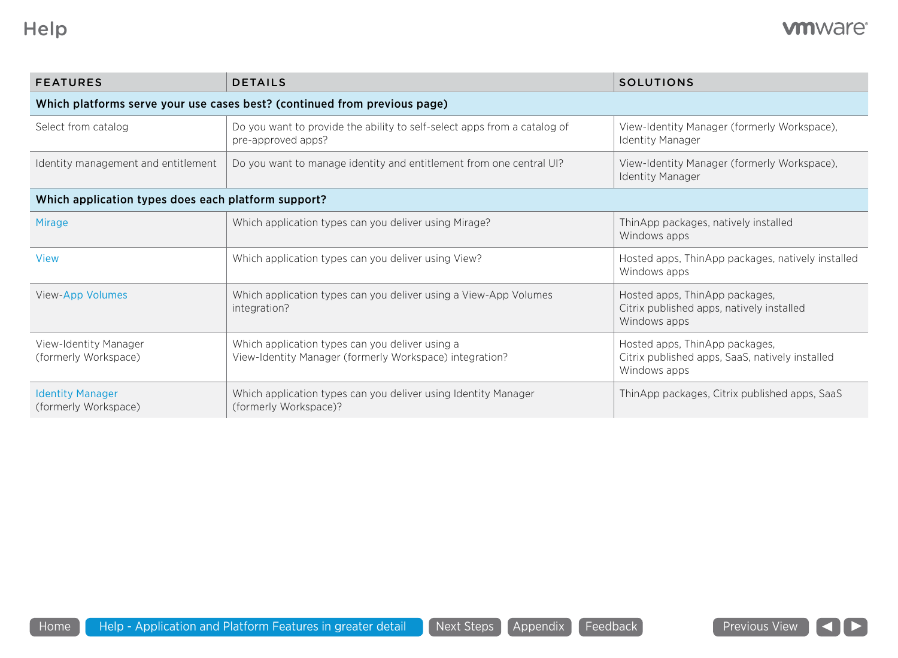| <b>FEATURES</b>                                                           | <b>DETAILS</b>                                                                                             | <b>SOLUTIONS</b>                                                                                  |  |  |
|---------------------------------------------------------------------------|------------------------------------------------------------------------------------------------------------|---------------------------------------------------------------------------------------------------|--|--|
| Which platforms serve your use cases best? (continued from previous page) |                                                                                                            |                                                                                                   |  |  |
| Select from catalog                                                       | Do you want to provide the ability to self-select apps from a catalog of<br>pre-approved apps?             | View-Identity Manager (formerly Workspace),<br><b>Identity Manager</b>                            |  |  |
| Identity management and entitlement                                       | Do you want to manage identity and entitlement from one central UI?                                        | View-Identity Manager (formerly Workspace),<br><b>Identity Manager</b>                            |  |  |
| Which application types does each platform support?                       |                                                                                                            |                                                                                                   |  |  |
| <b>Mirage</b>                                                             | Which application types can you deliver using Mirage?                                                      | ThinApp packages, natively installed<br>Windows apps                                              |  |  |
| <b>View</b>                                                               | Which application types can you deliver using View?                                                        | Hosted apps, ThinApp packages, natively installed<br>Windows apps                                 |  |  |
| View-App Volumes                                                          | Which application types can you deliver using a View-App Volumes<br>integration?                           | Hosted apps, ThinApp packages,<br>Citrix published apps, natively installed<br>Windows apps       |  |  |
| View-Identity Manager<br>(formerly Workspace)                             | Which application types can you deliver using a<br>View-Identity Manager (formerly Workspace) integration? | Hosted apps, ThinApp packages,<br>Citrix published apps, SaaS, natively installed<br>Windows apps |  |  |
| <b>Identity Manager</b><br>(formerly Workspace)                           | Which application types can you deliver using Identity Manager<br>(formerly Workspace)?                    | ThinApp packages, Citrix published apps, SaaS                                                     |  |  |

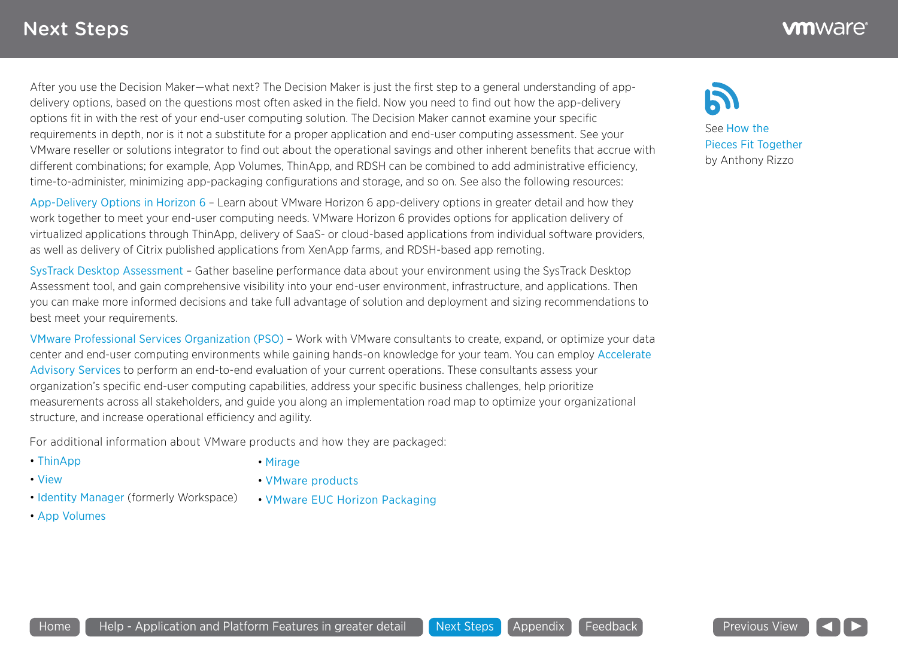After you use the Decision Maker—what next? The Decision Maker is just the first step to a general understanding of appdelivery options, based on the questions most often asked in the field. Now you need to find out how the app-delivery options fit in with the rest of your end-user computing solution. The Decision Maker cannot examine your specific requirements in depth, nor is it not a substitute for a proper application and end-user computing assessment. See your VMware reseller or solutions integrator to find out about the operational savings and other inherent benefits that accrue with different combinations; for example, App Volumes, ThinApp, and RDSH can be combined to add administrative efficiency, time-to-administer, minimizing app-packaging configurations and storage, and so on. See also the following resources:

[App-Delivery Options in Horizon 6](http://www.vmware.com/files/pdf/techpaper/vmware-horizon-view-workspace-application-delivery-options.pdf) – Learn about VMware Horizon 6 app-delivery options in greater detail and how they work together to meet your end-user computing needs. VMware Horizon 6 provides options for application delivery of virtualized applications through ThinApp, delivery of SaaS- or cloud-based applications from individual software providers, as well as delivery of Citrix published applications from XenApp farms, and RDSH-based app remoting.

[SysTrack Desktop Assessment](http://www.vmware.com/files/microsites/latitude/index.html) – Gather baseline performance data about your environment using the SysTrack Desktop Assessment tool, and gain comprehensive visibility into your end-user environment, infrastructure, and applications. Then you can make more informed decisions and take full advantage of solution and deployment and sizing recommendations to best meet your requirements.

[VMware Professional Services Organization \(PSO\)](http://www.vmware.com/consulting) – Work with VMware consultants to create, expand, or optimize your data center and end-user computing environments while gaining hands-on knowledge for your team. You can employ [Accelerate](https://www.vmware.com/consulting/accelerate)  [Advisory Services](https://www.vmware.com/consulting/accelerate) to perform an end-to-end evaluation of your current operations. These consultants assess your organization's specific end-user computing capabilities, address your specific business challenges, help prioritize measurements across all stakeholders, and guide you along an implementation road map to optimize your organizational structure, and increase operational efficiency and agility.

For additional information about VMware products and how they are packaged:

- [ThinApp](http://www.vmware.com/products/thinapp)
- [View](https://www.vmware.com/products/horizon-view/)
- [Mirage](http://www.vmware.com/products/horizon-mirage)
- [VMware products](http://www.vmware.com/products/)
- [Identity Manager](http://www.vmware.com/products/identity-manager) (formerly Workspace)
- [App Volumes](https://www.vmware.com/products/appvolumes)

• [VMware EUC Horizon Packaging](https://www.vmware.com/files/pdf/products/horizon-view/VMware-Horizon-View-Pricing-Licensing-FAQ.pdf)





See [How the](https://blogs.vmware.com/euc/2015/10/a-guide-to-vmware-horizon-interoperability-part-1.html)  [Pieces Fit Together](https://blogs.vmware.com/euc/2015/10/a-guide-to-vmware-horizon-interoperability-part-1.html) by Anthony Rizzo

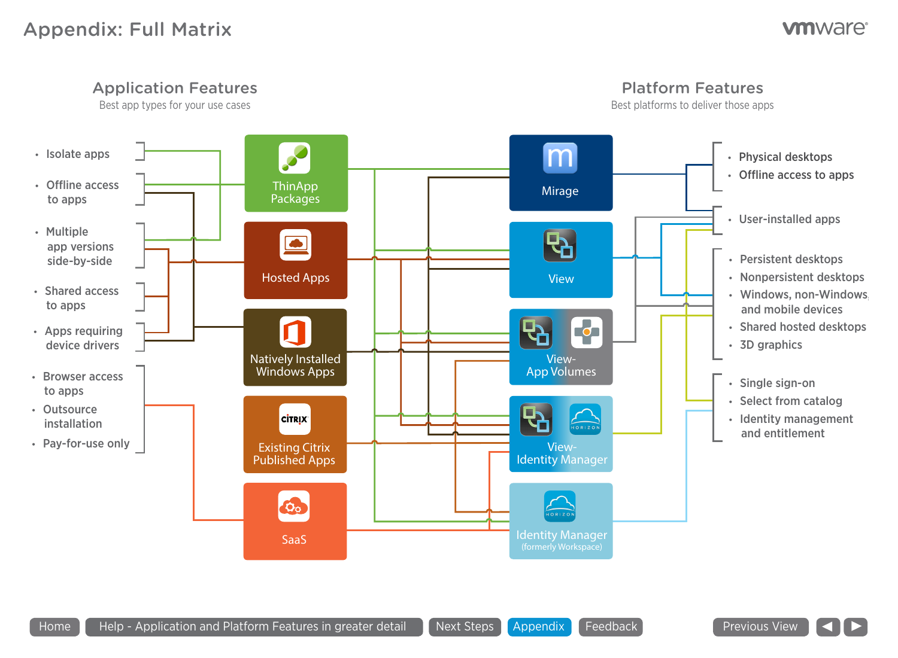## Appendix: Full Matrix

### **vm**ware<sup>®</sup>



Home  $\blacksquare$  Help - Application and Platform Features in greater detail  $\blacksquare$  Next Steps  $\blacksquare$  Appendix  $\blacksquare$  Feedback

Previous View